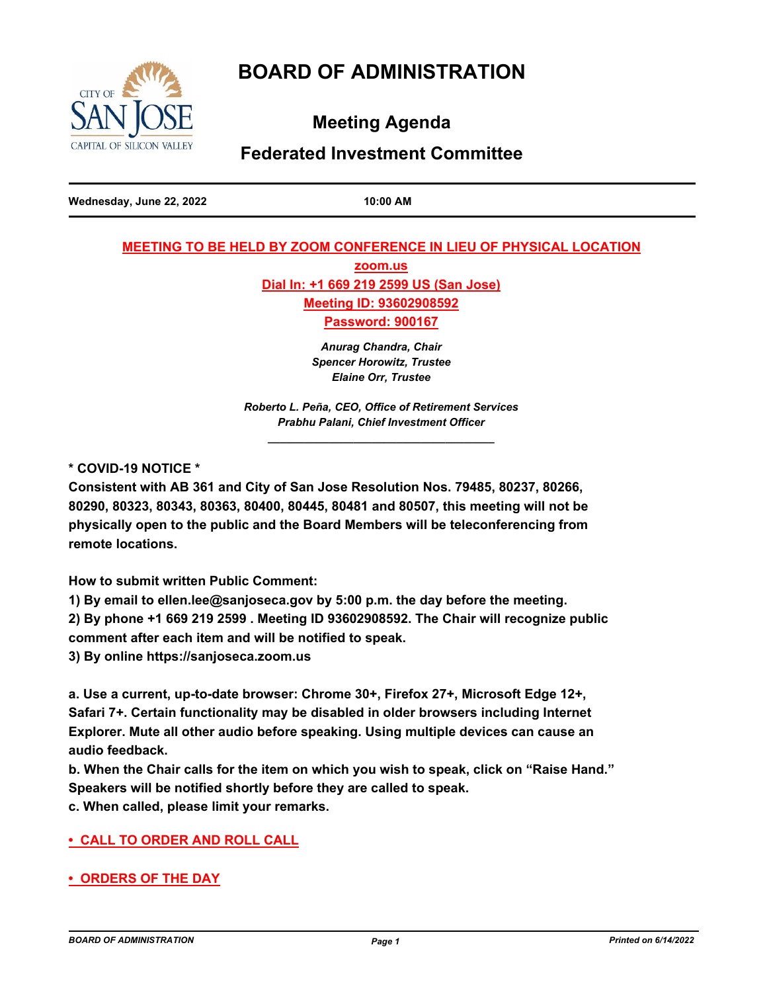# **BOARD OF ADMINISTRATION**



**Meeting Agenda**

## **Federated Investment Committee**

**Wednesday, June 22, 2022 10:00 AM**

## **MEETING TO BE HELD BY ZOOM CONFERENCE IN LIEU OF PHYSICAL LOCATION**

**zoom.us Dial In: +1 669 219 2599 US (San Jose) Meeting ID: 93602908592**

**Password: 900167**

*Anurag Chandra, Chair Spencer Horowitz, Trustee Elaine Orr, Trustee* 

*Roberto L. Peña, CEO, Office of Retirement Services Prabhu Palani, Chief Investment Officer \_\_\_\_\_\_\_\_\_\_\_\_\_\_\_\_\_\_\_\_\_\_\_\_\_\_\_\_\_\_\_\_\_\_\_\_\_*

**\* COVID-19 NOTICE \***

**Consistent with AB 361 and City of San Jose Resolution Nos. 79485, 80237, 80266, 80290, 80323, 80343, 80363, 80400, 80445, 80481 and 80507, this meeting will not be physically open to the public and the Board Members will be teleconferencing from remote locations.**

**How to submit written Public Comment:**

**1) By email to ellen.lee@sanjoseca.gov by 5:00 p.m. the day before the meeting.**

**2) By phone +1 669 219 2599 . Meeting ID 93602908592. The Chair will recognize public** 

**comment after each item and will be notified to speak.**

**3) By online https://sanjoseca.zoom.us**

**a. Use a current, up-to-date browser: Chrome 30+, Firefox 27+, Microsoft Edge 12+, Safari 7+. Certain functionality may be disabled in older browsers including Internet Explorer. Mute all other audio before speaking. Using multiple devices can cause an audio feedback.**

**b. When the Chair calls for the item on which you wish to speak, click on "Raise Hand." Speakers will be notified shortly before they are called to speak.**

**c. When called, please limit your remarks.**

## **• CALL TO ORDER AND ROLL CALL**

**• ORDERS OF THE DAY**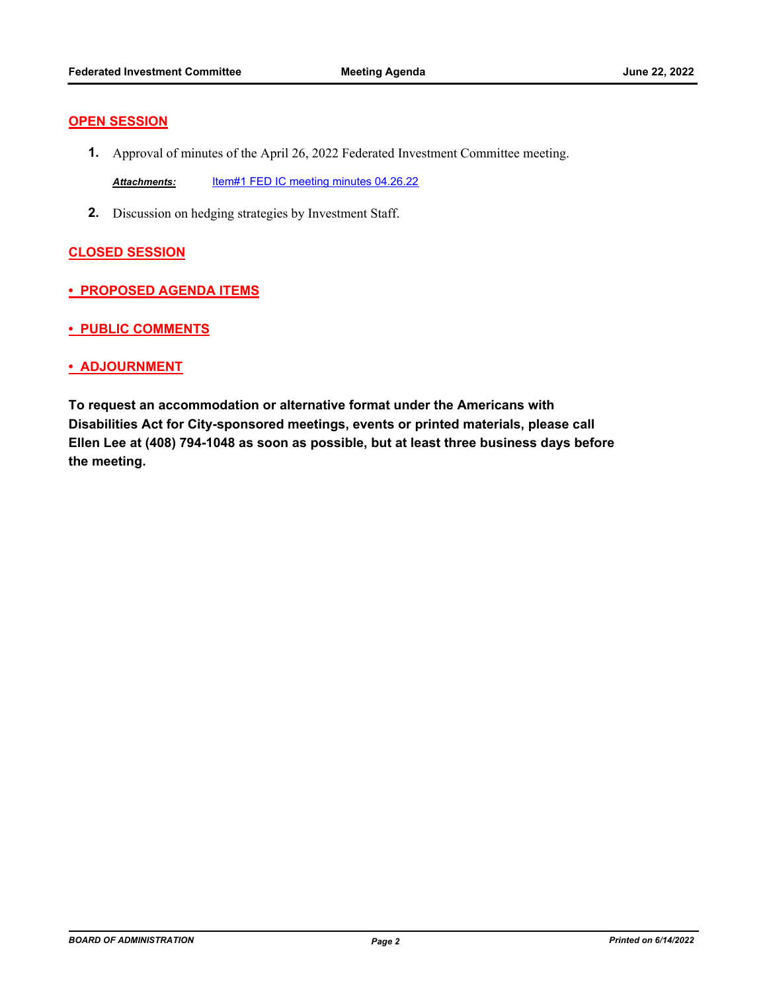#### **OPEN SESSION**

**1.** Approval of minutes of the April 26, 2022 Federated Investment Committee meeting.

*Attachments:* [Item#1 FED IC meeting minutes 04.26.22](http://sjrs.legistar.com/gateway.aspx?M=F&ID=e5f370a0-e53f-47e2-bfe9-80fc0a101660.pdf)

**2.** Discussion on hedging strategies by Investment Staff.

### **CLOSED SESSION**

- **PROPOSED AGENDA ITEMS**
- **PUBLIC COMMENTS**
- **ADJOURNMENT**

**To request an accommodation or alternative format under the Americans with Disabilities Act for City-sponsored meetings, events or printed materials, please call Ellen Lee at (408) 794-1048 as soon as possible, but at least three business days before the meeting.**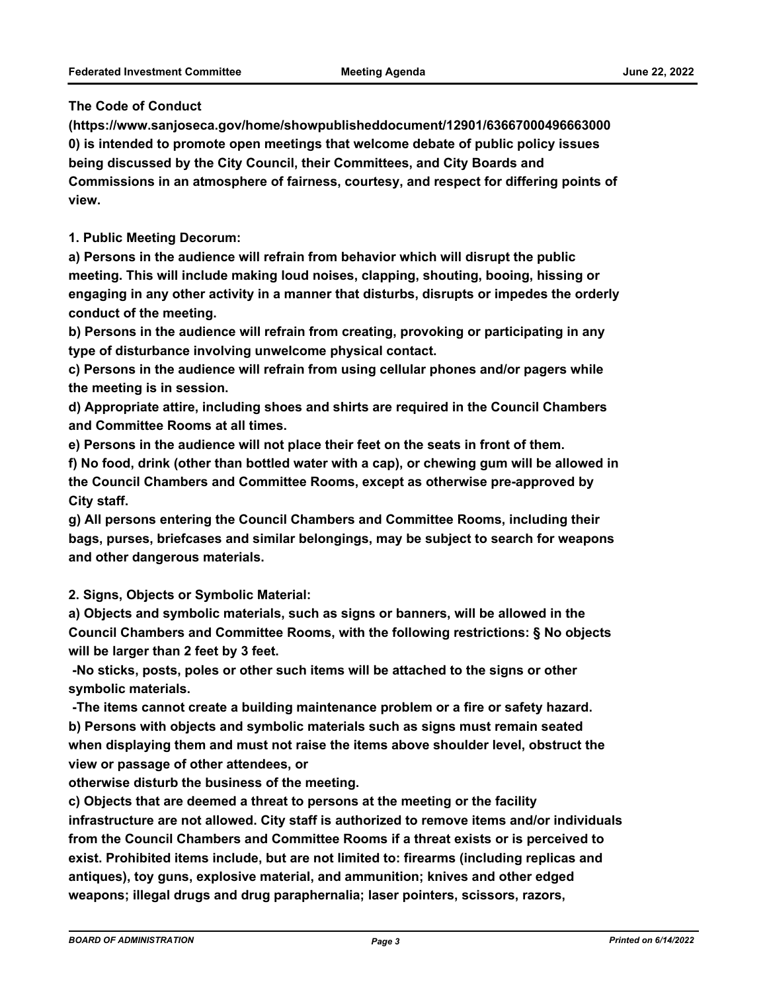#### **The Code of Conduct**

**(https://www.sanjoseca.gov/home/showpublisheddocument/12901/63667000496663000 0) is intended to promote open meetings that welcome debate of public policy issues being discussed by the City Council, their Committees, and City Boards and Commissions in an atmosphere of fairness, courtesy, and respect for differing points of view.**

**1. Public Meeting Decorum:**

**a) Persons in the audience will refrain from behavior which will disrupt the public meeting. This will include making loud noises, clapping, shouting, booing, hissing or engaging in any other activity in a manner that disturbs, disrupts or impedes the orderly conduct of the meeting.**

**b) Persons in the audience will refrain from creating, provoking or participating in any type of disturbance involving unwelcome physical contact.**

**c) Persons in the audience will refrain from using cellular phones and/or pagers while the meeting is in session.**

**d) Appropriate attire, including shoes and shirts are required in the Council Chambers and Committee Rooms at all times.**

**e) Persons in the audience will not place their feet on the seats in front of them.**

**f) No food, drink (other than bottled water with a cap), or chewing gum will be allowed in the Council Chambers and Committee Rooms, except as otherwise pre-approved by City staff.**

**g) All persons entering the Council Chambers and Committee Rooms, including their bags, purses, briefcases and similar belongings, may be subject to search for weapons and other dangerous materials.**

**2. Signs, Objects or Symbolic Material:**

**a) Objects and symbolic materials, such as signs or banners, will be allowed in the Council Chambers and Committee Rooms, with the following restrictions: § No objects will be larger than 2 feet by 3 feet.**

 **-No sticks, posts, poles or other such items will be attached to the signs or other symbolic materials.**

 **-The items cannot create a building maintenance problem or a fire or safety hazard. b) Persons with objects and symbolic materials such as signs must remain seated when displaying them and must not raise the items above shoulder level, obstruct the view or passage of other attendees, or**

**otherwise disturb the business of the meeting.**

**c) Objects that are deemed a threat to persons at the meeting or the facility infrastructure are not allowed. City staff is authorized to remove items and/or individuals from the Council Chambers and Committee Rooms if a threat exists or is perceived to exist. Prohibited items include, but are not limited to: firearms (including replicas and antiques), toy guns, explosive material, and ammunition; knives and other edged weapons; illegal drugs and drug paraphernalia; laser pointers, scissors, razors,**